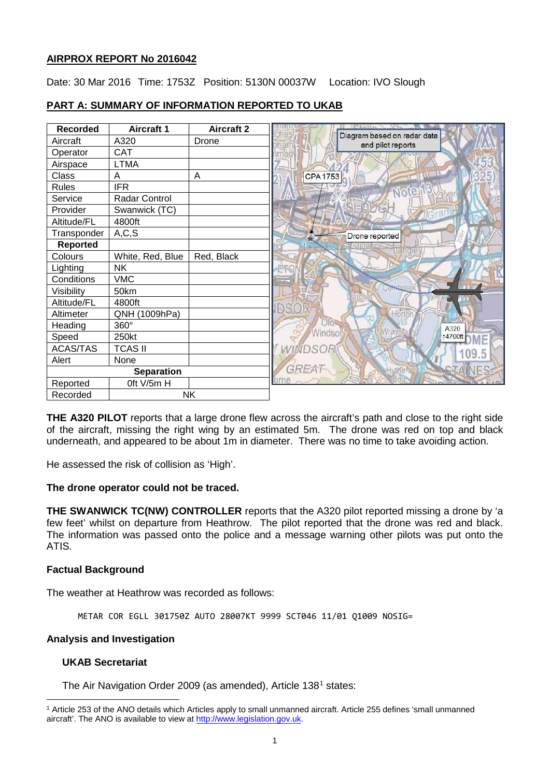## **AIRPROX REPORT No 2016042**

Date: 30 Mar 2016 Time: 1753Z Position: 5130N 00037W Location: IVO Slough

| <b>Recorded</b>   | <b>Aircraft 1</b> | <b>Aircraft 2</b> |                                                  |
|-------------------|-------------------|-------------------|--------------------------------------------------|
| Aircraft          | A320              | Drone             | Diagram based on radar data<br>and pilot reports |
| Operator          | <b>CAT</b>        |                   |                                                  |
| Airspace          | <b>LTMA</b>       |                   |                                                  |
| Class             | A                 | Α                 | <b>CPA 1753</b>                                  |
| <b>Rules</b>      | <b>IFR</b>        |                   | Note                                             |
| Service           | Radar Control     |                   |                                                  |
| Provider          | Swanwick (TC)     |                   |                                                  |
| Altitude/FL       | 4800ft            |                   |                                                  |
| Transponder       | A, C, S           |                   | Drone reported                                   |
| Reported          |                   |                   |                                                  |
| Colours           | White, Red, Blue  | Red, Black        |                                                  |
| Lighting          | <b>NK</b>         |                   |                                                  |
| Conditions        | <b>VMC</b>        |                   |                                                  |
| Visibility        | 50km              |                   |                                                  |
| Altitude/FL       | 4800ft            |                   |                                                  |
| Altimeter         | QNH (1009hPa)     |                   | DSC<br>Horto                                     |
| Heading           | 360°              |                   | A320                                             |
| Speed             | 250kt             |                   | Windsor<br>14700ft <b>ME</b>                     |
| <b>ACAS/TAS</b>   | <b>TCAS II</b>    |                   | WINDSO                                           |
| Alert             | None              |                   |                                                  |
| <b>Separation</b> |                   |                   | GREA                                             |
| Reported          | Oft V/5m H        |                   |                                                  |
| Recorded          | <b>NK</b>         |                   |                                                  |

# **PART A: SUMMARY OF INFORMATION REPORTED TO UKAB**

**THE A320 PILOT** reports that a large drone flew across the aircraft's path and close to the right side of the aircraft, missing the right wing by an estimated 5m. The drone was red on top and black underneath, and appeared to be about 1m in diameter. There was no time to take avoiding action.

He assessed the risk of collision as 'High'.

## **The drone operator could not be traced.**

**THE SWANWICK TC(NW) CONTROLLER** reports that the A320 pilot reported missing a drone by 'a few feet' whilst on departure from Heathrow. The pilot reported that the drone was red and black. The information was passed onto the police and a message warning other pilots was put onto the ATIS.

## **Factual Background**

The weather at Heathrow was recorded as follows:

METAR COR EGLL 301750Z AUTO 28007KT 9999 SCT046 11/01 Q1009 NOSIG=

#### **Analysis and Investigation**

## **UKAB Secretariat**

l

The Air Navigation Order 2009 (as amended), Article 138[1](#page-0-0) states:

<span id="page-0-0"></span><sup>1</sup> Article 253 of the ANO details which Articles apply to small unmanned aircraft. Article 255 defines 'small unmanned aircraft'. The ANO is available to view at [http://www.legislation.gov.uk.](http://www.legislation.gov.uk/)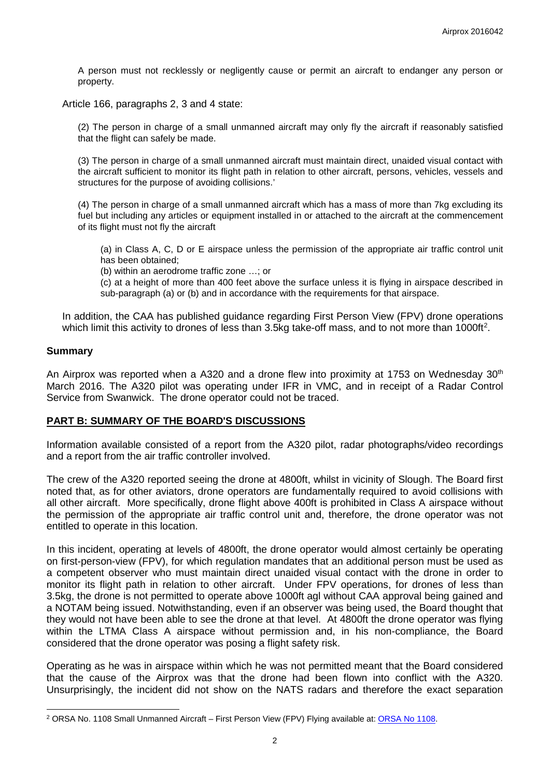A person must not recklessly or negligently cause or permit an aircraft to endanger any person or property.

Article 166, paragraphs 2, 3 and 4 state:

(2) The person in charge of a small unmanned aircraft may only fly the aircraft if reasonably satisfied that the flight can safely be made.

(3) The person in charge of a small unmanned aircraft must maintain direct, unaided visual contact with the aircraft sufficient to monitor its flight path in relation to other aircraft, persons, vehicles, vessels and structures for the purpose of avoiding collisions.'

(4) The person in charge of a small unmanned aircraft which has a mass of more than 7kg excluding its fuel but including any articles or equipment installed in or attached to the aircraft at the commencement of its flight must not fly the aircraft

(a) in Class A, C, D or E airspace unless the permission of the appropriate air traffic control unit has been obtained;

(b) within an aerodrome traffic zone …; or

(c) at a height of more than 400 feet above the surface unless it is flying in airspace described in sub-paragraph (a) or (b) and in accordance with the requirements for that airspace.

In addition, the CAA has published guidance regarding First Person View (FPV) drone operations which limit this activity to drones of less than 3.5kg take-off mass, and to not more than 1000ft<sup>[2](#page-1-0)</sup>.

#### **Summary**

 $\overline{\phantom{a}}$ 

An Airprox was reported when a A320 and a drone flew into proximity at 1753 on Wednesday 30<sup>th</sup> March 2016. The A320 pilot was operating under IFR in VMC, and in receipt of a Radar Control Service from Swanwick. The drone operator could not be traced.

#### **PART B: SUMMARY OF THE BOARD'S DISCUSSIONS**

Information available consisted of a report from the A320 pilot, radar photographs/video recordings and a report from the air traffic controller involved.

The crew of the A320 reported seeing the drone at 4800ft, whilst in vicinity of Slough. The Board first noted that, as for other aviators, drone operators are fundamentally required to avoid collisions with all other aircraft. More specifically, drone flight above 400ft is prohibited in Class A airspace without the permission of the appropriate air traffic control unit and, therefore, the drone operator was not entitled to operate in this location.

In this incident, operating at levels of 4800ft, the drone operator would almost certainly be operating on first-person-view (FPV), for which regulation mandates that an additional person must be used as a competent observer who must maintain direct unaided visual contact with the drone in order to monitor its flight path in relation to other aircraft. Under FPV operations, for drones of less than 3.5kg, the drone is not permitted to operate above 1000ft agl without CAA approval being gained and a NOTAM being issued. Notwithstanding, even if an observer was being used, the Board thought that they would not have been able to see the drone at that level. At 4800ft the drone operator was flying within the LTMA Class A airspace without permission and, in his non-compliance, the Board considered that the drone operator was posing a flight safety risk.

Operating as he was in airspace within which he was not permitted meant that the Board considered that the cause of the Airprox was that the drone had been flown into conflict with the A320. Unsurprisingly, the incident did not show on the NATS radars and therefore the exact separation

<span id="page-1-0"></span><sup>&</sup>lt;sup>2</sup> ORSA No. 1108 Small Unmanned Aircraft – First Person View (FPV) Flying available at: ORSA No 1108.